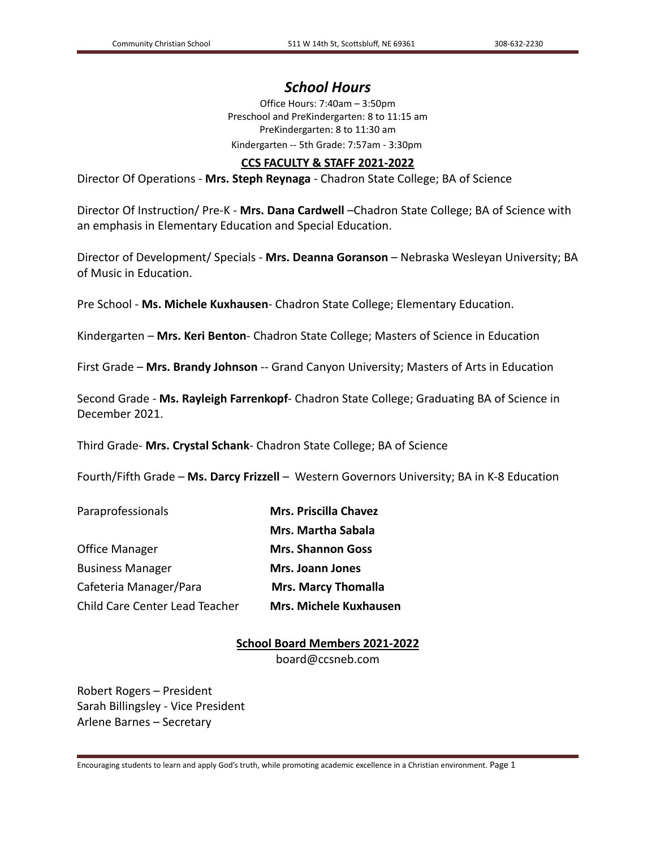# *School Hours*

Office Hours: 7:40am – 3:50pm Preschool and PreKindergarten: 8 to 11:15 am PreKindergarten: 8 to 11:30 am Kindergarten -- 5th Grade: 7:57am - 3:30pm

# **CCS FACULTY & STAFF 2021-2022**

Director Of Operations - **Mrs. Steph Reynaga** - Chadron State College; BA of Science

Director Of Instruction/ Pre-K - **Mrs. Dana Cardwell** –Chadron State College; BA of Science with an emphasis in Elementary Education and Special Education.

Director of Development/ Specials - **Mrs. Deanna Goranson** – Nebraska Wesleyan University; BA of Music in Education.

Pre School - **Ms. Michele Kuxhausen**- Chadron State College; Elementary Education.

Kindergarten – **Mrs. Keri Benton**- Chadron State College; Masters of Science in Education

First Grade – **Mrs. Brandy Johnson** -- Grand Canyon University; Masters of Arts in Education

Second Grade - **Ms. Rayleigh Farrenkopf**- Chadron State College; Graduating BA of Science in December 2021.

Third Grade- **Mrs. Crystal Schank**- Chadron State College; BA of Science

Fourth/Fifth Grade – **Ms. Darcy Frizzell** – Western Governors University; BA in K-8 Education

| <b>Mrs. Priscilla Chavez</b>  |  |
|-------------------------------|--|
| <b>Mrs. Martha Sabala</b>     |  |
| <b>Mrs. Shannon Goss</b>      |  |
| <b>Mrs. Joann Jones</b>       |  |
| <b>Mrs. Marcy Thomalla</b>    |  |
| <b>Mrs. Michele Kuxhausen</b> |  |
|                               |  |

**School Board Members 2021-2022** board@ccsneb.com

Robert Rogers – President Sarah Billingsley - Vice President Arlene Barnes – Secretary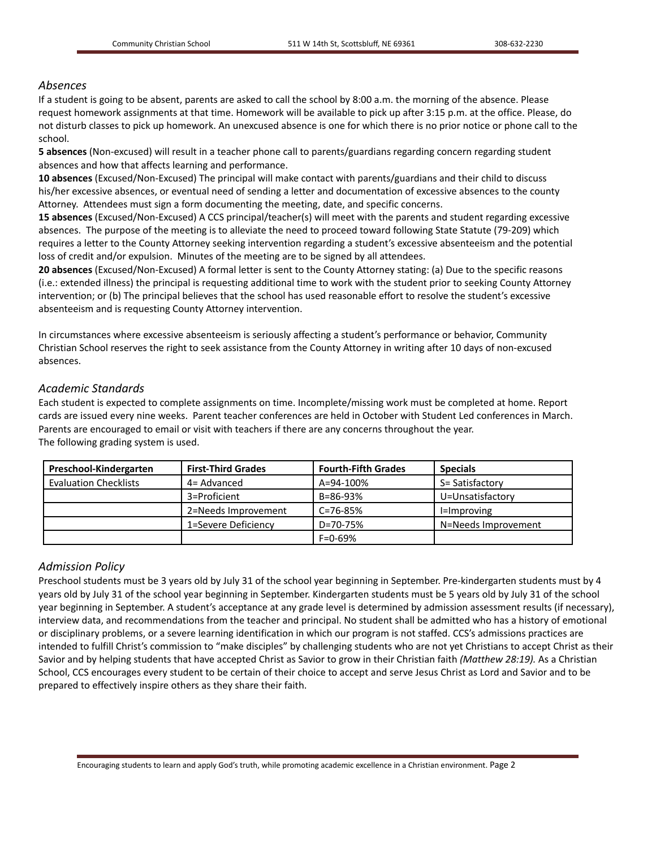# *Absences*

If a student is going to be absent, parents are asked to call the school by 8:00 a.m. the morning of the absence. Please request homework assignments at that time. Homework will be available to pick up after 3:15 p.m. at the office. Please, do not disturb classes to pick up homework. An unexcused absence is one for which there is no prior notice or phone call to the school.

**5 absences** (Non-excused) will result in a teacher phone call to parents/guardians regarding concern regarding student absences and how that affects learning and performance.

**10 absences** (Excused/Non-Excused) The principal will make contact with parents/guardians and their child to discuss his/her excessive absences, or eventual need of sending a letter and documentation of excessive absences to the county Attorney. Attendees must sign a form documenting the meeting, date, and specific concerns.

**15 absences** (Excused/Non-Excused) A CCS principal/teacher(s) will meet with the parents and student regarding excessive absences. The purpose of the meeting is to alleviate the need to proceed toward following State Statute (79-209) which requires a letter to the County Attorney seeking intervention regarding a student's excessive absenteeism and the potential loss of credit and/or expulsion. Minutes of the meeting are to be signed by all attendees.

**20 absences** (Excused/Non-Excused) A formal letter is sent to the County Attorney stating: (a) Due to the specific reasons (i.e.: extended illness) the principal is requesting additional time to work with the student prior to seeking County Attorney intervention; or (b) The principal believes that the school has used reasonable effort to resolve the student's excessive absenteeism and is requesting County Attorney intervention.

In circumstances where excessive absenteeism is seriously affecting a student's performance or behavior, Community Christian School reserves the right to seek assistance from the County Attorney in writing after 10 days of non-excused absences.

## *Academic Standards*

Each student is expected to complete assignments on time. Incomplete/missing work must be completed at home. Report cards are issued every nine weeks. Parent teacher conferences are held in October with Student Led conferences in March. Parents are encouraged to email or visit with teachers if there are any concerns throughout the year. The following grading system is used.

| Preschool-Kindergarten       | <b>First-Third Grades</b> | <b>Fourth-Fifth Grades</b> | <b>Specials</b>     |
|------------------------------|---------------------------|----------------------------|---------------------|
| <b>Evaluation Checklists</b> | 4= Advanced               | A=94-100%                  | S= Satisfactory     |
|                              | 3=Proficient              | B=86-93%                   | U=Unsatisfactory    |
|                              | 2=Needs Improvement       | C=76-85%                   | I=Improving         |
|                              | 1=Severe Deficiency       | D=70-75%                   | N=Needs Improvement |
|                              |                           | $F = 0 - 69%$              |                     |

## *Admission Policy*

Preschool students must be 3 years old by July 31 of the school year beginning in September. Pre-kindergarten students must by 4 years old by July 31 of the school year beginning in September. Kindergarten students must be 5 years old by July 31 of the school year beginning in September. A student's acceptance at any grade level is determined by admission assessment results (if necessary), interview data, and recommendations from the teacher and principal. No student shall be admitted who has a history of emotional or disciplinary problems, or a severe learning identification in which our program is not staffed. CCS's admissions practices are intended to fulfill Christ's commission to "make disciples" by challenging students who are not yet Christians to accept Christ as their Savior and by helping students that have accepted Christ as Savior to grow in their Christian faith *(Matthew 28:19).* As a Christian School, CCS encourages every student to be certain of their choice to accept and serve Jesus Christ as Lord and Savior and to be prepared to effectively inspire others as they share their faith.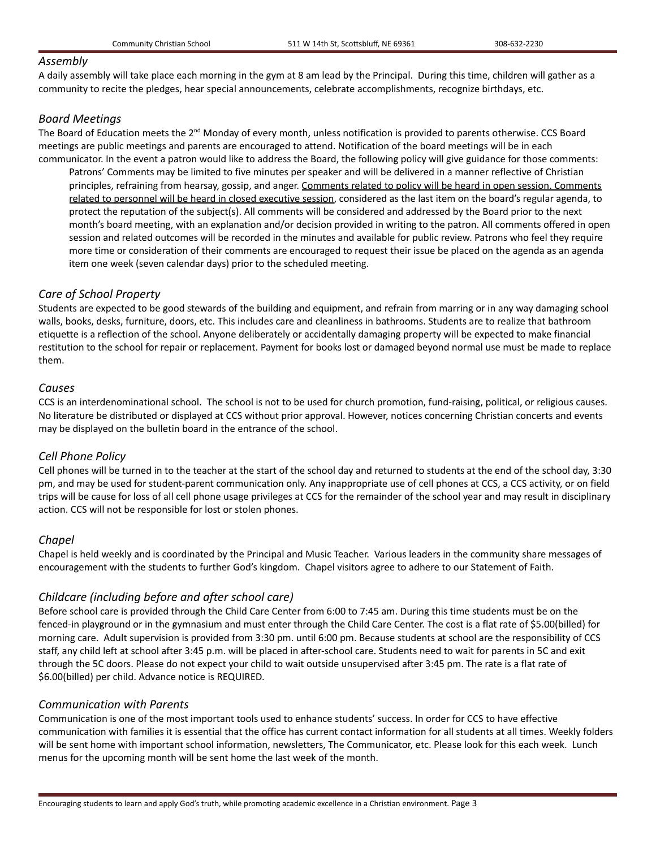## *Assembly*

A daily assembly will take place each morning in the gym at 8 am lead by the Principal. During this time, children will gather as a community to recite the pledges, hear special announcements, celebrate accomplishments, recognize birthdays, etc.

# *Board Meetings*

The Board of Education meets the 2<sup>nd</sup> Monday of every month, unless notification is provided to parents otherwise. CCS Board meetings are public meetings and parents are encouraged to attend. Notification of the board meetings will be in each communicator. In the event a patron would like to address the Board, the following policy will give guidance for those comments:

Patrons' Comments may be limited to five minutes per speaker and will be delivered in a manner reflective of Christian principles, refraining from hearsay, gossip, and anger. Comments related to policy will be heard in open session. Comments related to personnel will be heard in closed executive session, considered as the last item on the board's regular agenda, to protect the reputation of the subject(s). All comments will be considered and addressed by the Board prior to the next month's board meeting, with an explanation and/or decision provided in writing to the patron. All comments offered in open session and related outcomes will be recorded in the minutes and available for public review. Patrons who feel they require more time or consideration of their comments are encouraged to request their issue be placed on the agenda as an agenda item one week (seven calendar days) prior to the scheduled meeting.

# *Care of School Property*

Students are expected to be good stewards of the building and equipment, and refrain from marring or in any way damaging school walls, books, desks, furniture, doors, etc. This includes care and cleanliness in bathrooms. Students are to realize that bathroom etiquette is a reflection of the school. Anyone deliberately or accidentally damaging property will be expected to make financial restitution to the school for repair or replacement. Payment for books lost or damaged beyond normal use must be made to replace them.

# *Causes*

CCS is an interdenominational school. The school is not to be used for church promotion, fund-raising, political, or religious causes. No literature be distributed or displayed at CCS without prior approval. However, notices concerning Christian concerts and events may be displayed on the bulletin board in the entrance of the school.

# *Cell Phone Policy*

Cell phones will be turned in to the teacher at the start of the school day and returned to students at the end of the school day, 3:30 pm, and may be used for student-parent communication only. Any inappropriate use of cell phones at CCS, a CCS activity, or on field trips will be cause for loss of all cell phone usage privileges at CCS for the remainder of the school year and may result in disciplinary action. CCS will not be responsible for lost or stolen phones.

# *Chapel*

Chapel is held weekly and is coordinated by the Principal and Music Teacher. Various leaders in the community share messages of encouragement with the students to further God's kingdom. Chapel visitors agree to adhere to our Statement of Faith.

# *Childcare (including before and after school care)*

Before school care is provided through the Child Care Center from 6:00 to 7:45 am. During this time students must be on the fenced-in playground or in the gymnasium and must enter through the Child Care Center. The cost is a flat rate of \$5.00(billed) for morning care. Adult supervision is provided from 3:30 pm. until 6:00 pm. Because students at school are the responsibility of CCS staff, any child left at school after 3:45 p.m. will be placed in after-school care. Students need to wait for parents in 5C and exit through the 5C doors. Please do not expect your child to wait outside unsupervised after 3:45 pm. The rate is a flat rate of \$6.00(billed) per child. Advance notice is REQUIRED.

## *Communication with Parents*

Communication is one of the most important tools used to enhance students' success. In order for CCS to have effective communication with families it is essential that the office has current contact information for all students at all times. Weekly folders will be sent home with important school information, newsletters, The Communicator, etc. Please look for this each week. Lunch menus for the upcoming month will be sent home the last week of the month.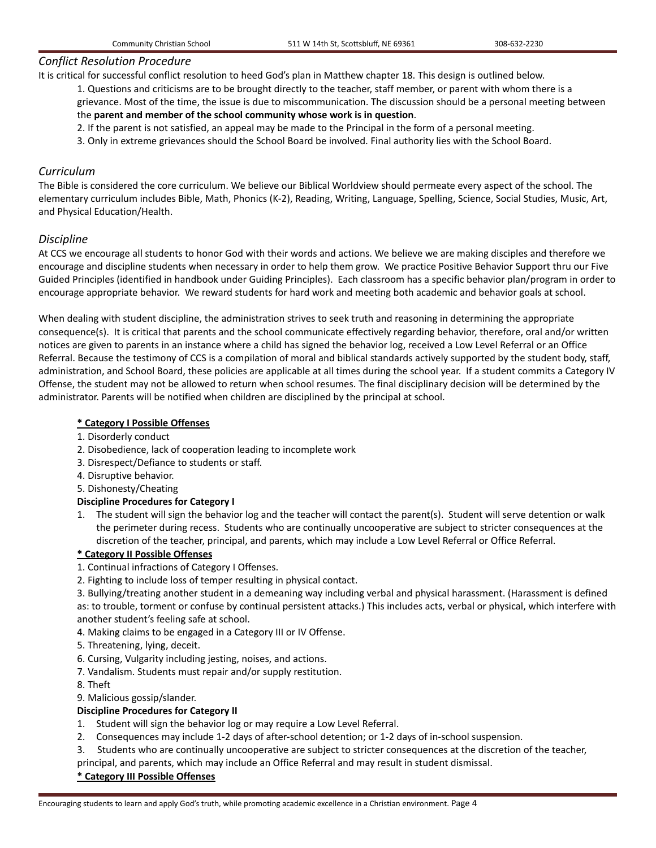## *Conflict Resolution Procedure*

It is critical for successful conflict resolution to heed God's plan in Matthew chapter 18. This design is outlined below.

1. Questions and criticisms are to be brought directly to the teacher, staff member, or parent with whom there is a grievance. Most of the time, the issue is due to miscommunication. The discussion should be a personal meeting between the **parent and member of the school community whose work is in question**.

- 2. If the parent is not satisfied, an appeal may be made to the Principal in the form of a personal meeting.
- 3. Only in extreme grievances should the School Board be involved. Final authority lies with the School Board.

# *Curriculum*

The Bible is considered the core curriculum. We believe our Biblical Worldview should permeate every aspect of the school. The elementary curriculum includes Bible, Math, Phonics (K-2), Reading, Writing, Language, Spelling, Science, Social Studies, Music, Art, and Physical Education/Health.

# *Discipline*

At CCS we encourage all students to honor God with their words and actions. We believe we are making disciples and therefore we encourage and discipline students when necessary in order to help them grow. We practice Positive Behavior Support thru our Five Guided Principles (identified in handbook under Guiding Principles). Each classroom has a specific behavior plan/program in order to encourage appropriate behavior. We reward students for hard work and meeting both academic and behavior goals at school.

When dealing with student discipline, the administration strives to seek truth and reasoning in determining the appropriate consequence(s). It is critical that parents and the school communicate effectively regarding behavior, therefore, oral and/or written notices are given to parents in an instance where a child has signed the behavior log, received a Low Level Referral or an Office Referral. Because the testimony of CCS is a compilation of moral and biblical standards actively supported by the student body, staff, administration, and School Board, these policies are applicable at all times during the school year. If a student commits a Category IV Offense, the student may not be allowed to return when school resumes. The final disciplinary decision will be determined by the administrator. Parents will be notified when children are disciplined by the principal at school.

## **\* Category I Possible Offenses**

- 1. Disorderly conduct
- 2. Disobedience, lack of cooperation leading to incomplete work
- 3. Disrespect/Defiance to students or staff.
- 4. Disruptive behavior.
- 5. Dishonesty/Cheating

## **Discipline Procedures for Category I**

1. The student will sign the behavior log and the teacher will contact the parent(s). Student will serve detention or walk the perimeter during recess. Students who are continually uncooperative are subject to stricter consequences at the discretion of the teacher, principal, and parents, which may include a Low Level Referral or Office Referral.

## **\* Category II Possible Offenses**

- 1. Continual infractions of Category I Offenses.
- 2. Fighting to include loss of temper resulting in physical contact.

3. Bullying/treating another student in a demeaning way including verbal and physical harassment. (Harassment is defined as: to trouble, torment or confuse by continual persistent attacks.) This includes acts, verbal or physical, which interfere with another student's feeling safe at school.

- 4. Making claims to be engaged in a Category III or IV Offense.
- 5. Threatening, lying, deceit.
- 6. Cursing, Vulgarity including jesting, noises, and actions.
- 7. Vandalism. Students must repair and/or supply restitution.
- 8. Theft
- 9. Malicious gossip/slander.

## **Discipline Procedures for Category II**

- 1. Student will sign the behavior log or may require a Low Level Referral.
- 2. Consequences may include 1-2 days of after-school detention; or 1-2 days of in-school suspension.
- 3. Students who are continually uncooperative are subject to stricter consequences at the discretion of the teacher,

principal, and parents, which may include an Office Referral and may result in student dismissal.

#### **\* Category III Possible Offenses**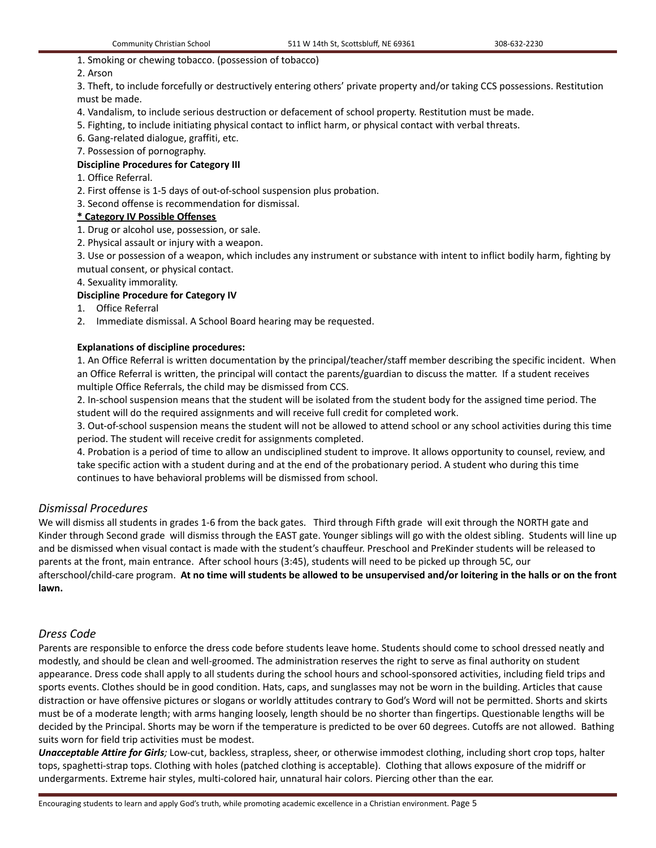## 1. Smoking or chewing tobacco. (possession of tobacco)

## 2. Arson

3. Theft, to include forcefully or destructively entering others' private property and/or taking CCS possessions. Restitution must be made.

- 4. Vandalism, to include serious destruction or defacement of school property. Restitution must be made.
- 5. Fighting, to include initiating physical contact to inflict harm, or physical contact with verbal threats.
- 6. Gang-related dialogue, graffiti, etc.
- 7. Possession of pornography.

## **Discipline Procedures for Category III**

1. Office Referral.

- 2. First offense is 1-5 days of out-of-school suspension plus probation.
- 3. Second offense is recommendation for dismissal.

## **\* Category IV Possible Offenses**

- 1. Drug or alcohol use, possession, or sale.
- 2. Physical assault or injury with a weapon.

3. Use or possession of a weapon, which includes any instrument or substance with intent to inflict bodily harm, fighting by mutual consent, or physical contact.

4. Sexuality immorality.

## **Discipline Procedure for Category IV**

- 1. Office Referral
- 2. Immediate dismissal. A School Board hearing may be requested.

## **Explanations of discipline procedures:**

1. An Office Referral is written documentation by the principal/teacher/staff member describing the specific incident. When an Office Referral is written, the principal will contact the parents/guardian to discuss the matter. If a student receives multiple Office Referrals, the child may be dismissed from CCS.

2. In-school suspension means that the student will be isolated from the student body for the assigned time period. The student will do the required assignments and will receive full credit for completed work.

3. Out-of-school suspension means the student will not be allowed to attend school or any school activities during this time period. The student will receive credit for assignments completed.

4. Probation is a period of time to allow an undisciplined student to improve. It allows opportunity to counsel, review, and take specific action with a student during and at the end of the probationary period. A student who during this time continues to have behavioral problems will be dismissed from school.

# *Dismissal Procedures*

We will dismiss all students in grades 1-6 from the back gates. Third through Fifth grade will exit through the NORTH gate and Kinder through Second grade will dismiss through the EAST gate. Younger siblings will go with the oldest sibling. Students will line up and be dismissed when visual contact is made with the student's chauffeur. Preschool and PreKinder students will be released to parents at the front, main entrance. After school hours (3:45), students will need to be picked up through 5C, our afterschool/child-care program. At no time will students be allowed to be unsupervised and/or loitering in the halls or on the front **lawn.**

# *Dress Code*

Parents are responsible to enforce the dress code before students leave home. Students should come to school dressed neatly and modestly, and should be clean and well-groomed. The administration reserves the right to serve as final authority on student appearance. Dress code shall apply to all students during the school hours and school-sponsored activities, including field trips and sports events. Clothes should be in good condition. Hats, caps, and sunglasses may not be worn in the building. Articles that cause distraction or have offensive pictures or slogans or worldly attitudes contrary to God's Word will not be permitted. Shorts and skirts must be of a moderate length; with arms hanging loosely, length should be no shorter than fingertips. Questionable lengths will be decided by the Principal. Shorts may be worn if the temperature is predicted to be over 60 degrees. Cutoffs are not allowed. Bathing suits worn for field trip activities must be modest.

*Unacceptable Attire for Girls;* Low-cut, backless, strapless, sheer, or otherwise immodest clothing, including short crop tops, halter tops, spaghetti-strap tops. Clothing with holes (patched clothing is acceptable). Clothing that allows exposure of the midriff or undergarments. Extreme hair styles, multi-colored hair, unnatural hair colors. Piercing other than the ear.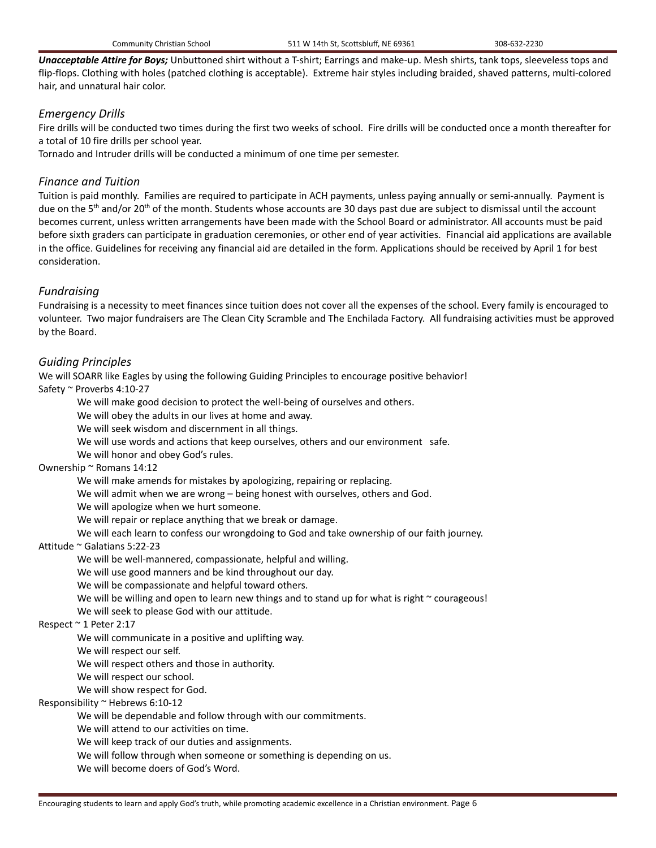*Unacceptable Attire for Boys;* Unbuttoned shirt without a T-shirt; Earrings and make-up. Mesh shirts, tank tops, sleeveless tops and flip-flops. Clothing with holes (patched clothing is acceptable). Extreme hair styles including braided, shaved patterns, multi-colored hair, and unnatural hair color.

# *Emergency Drills*

Fire drills will be conducted two times during the first two weeks of school. Fire drills will be conducted once a month thereafter for a total of 10 fire drills per school year.

Tornado and Intruder drills will be conducted a minimum of one time per semester.

# *Finance and Tuition*

Tuition is paid monthly. Families are required to participate in ACH payments, unless paying annually or semi-annually. Payment is due on the 5<sup>th</sup> and/or 20<sup>th</sup> of the month. Students whose accounts are 30 days past due are subject to dismissal until the account becomes current, unless written arrangements have been made with the School Board or administrator. All accounts must be paid before sixth graders can participate in graduation ceremonies, or other end of year activities. Financial aid applications are available in the office. Guidelines for receiving any financial aid are detailed in the form. Applications should be received by April 1 for best consideration.

# *Fundraising*

Fundraising is a necessity to meet finances since tuition does not cover all the expenses of the school. Every family is encouraged to volunteer. Two major fundraisers are The Clean City Scramble and The Enchilada Factory. All fundraising activities must be approved by the Board.

# *Guiding Principles*

We will SOARR like Eagles by using the following Guiding Principles to encourage positive behavior!

Safety ~ Proverbs 4:10-27

We will make good decision to protect the well-being of ourselves and others.

We will obey the adults in our lives at home and away.

We will seek wisdom and discernment in all things.

We will use words and actions that keep ourselves, others and our environment safe.

We will honor and obey God's rules.

## Ownership ~ Romans 14:12

We will make amends for mistakes by apologizing, repairing or replacing.

We will admit when we are wrong – being honest with ourselves, others and God.

We will apologize when we hurt someone.

We will repair or replace anything that we break or damage.

We will each learn to confess our wrongdoing to God and take ownership of our faith journey.

# Attitude ~ Galatians 5:22-23

We will be well-mannered, compassionate, helpful and willing.

We will use good manners and be kind throughout our day.

We will be compassionate and helpful toward others.

We will be willing and open to learn new things and to stand up for what is right  $\sim$  courageous!

We will seek to please God with our attitude.

# Respect ~ 1 Peter 2:17

We will communicate in a positive and uplifting way.

We will respect our self.

We will respect others and those in authority.

We will respect our school.

We will show respect for God.

# Responsibility ~ Hebrews 6:10-12

We will be dependable and follow through with our commitments.

We will attend to our activities on time.

We will keep track of our duties and assignments.

We will follow through when someone or something is depending on us.

We will become doers of God's Word.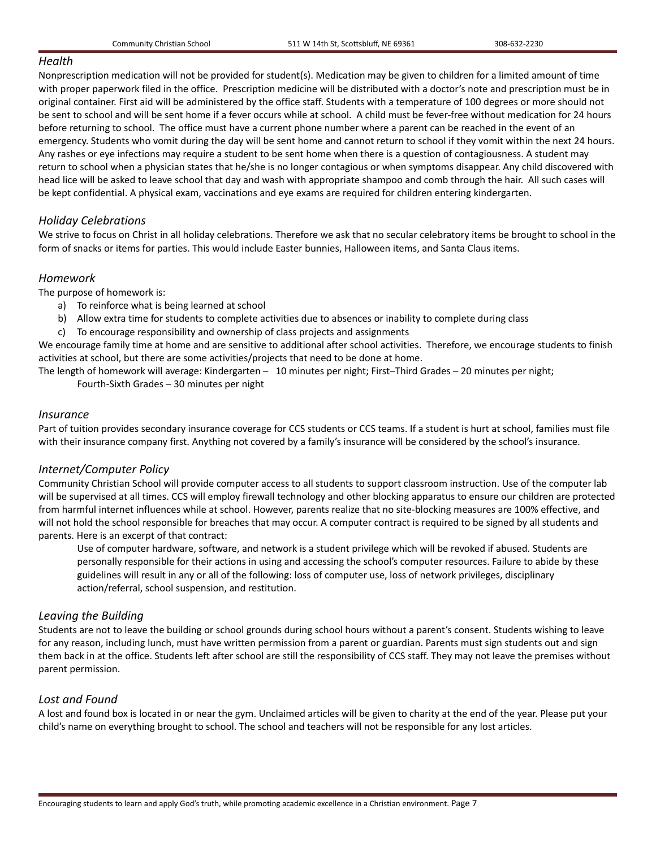## *Health*

Nonprescription medication will not be provided for student(s). Medication may be given to children for a limited amount of time with proper paperwork filed in the office. Prescription medicine will be distributed with a doctor's note and prescription must be in original container. First aid will be administered by the office staff. Students with a temperature of 100 degrees or more should not be sent to school and will be sent home if a fever occurs while at school. A child must be fever-free without medication for 24 hours before returning to school. The office must have a current phone number where a parent can be reached in the event of an emergency. Students who vomit during the day will be sent home and cannot return to school if they vomit within the next 24 hours. Any rashes or eye infections may require a student to be sent home when there is a question of contagiousness. A student may return to school when a physician states that he/she is no longer contagious or when symptoms disappear. Any child discovered with head lice will be asked to leave school that day and wash with appropriate shampoo and comb through the hair. All such cases will be kept confidential. A physical exam, vaccinations and eye exams are required for children entering kindergarten.

# *Holiday Celebrations*

We strive to focus on Christ in all holiday celebrations. Therefore we ask that no secular celebratory items be brought to school in the form of snacks or items for parties. This would include Easter bunnies, Halloween items, and Santa Claus items.

# *Homework*

The purpose of homework is:

- a) To reinforce what is being learned at school
- b) Allow extra time for students to complete activities due to absences or inability to complete during class
- c) To encourage responsibility and ownership of class projects and assignments

We encourage family time at home and are sensitive to additional after school activities. Therefore, we encourage students to finish activities at school, but there are some activities/projects that need to be done at home.

The length of homework will average: Kindergarten – 10 minutes per night; First–Third Grades – 20 minutes per night;

Fourth-Sixth Grades – 30 minutes per night

# *Insurance*

Part of tuition provides secondary insurance coverage for CCS students or CCS teams. If a student is hurt at school, families must file with their insurance company first. Anything not covered by a family's insurance will be considered by the school's insurance.

# *Internet/Computer Policy*

Community Christian School will provide computer access to all students to support classroom instruction. Use of the computer lab will be supervised at all times. CCS will employ firewall technology and other blocking apparatus to ensure our children are protected from harmful internet influences while at school. However, parents realize that no site-blocking measures are 100% effective, and will not hold the school responsible for breaches that may occur. A computer contract is required to be signed by all students and parents. Here is an excerpt of that contract:

Use of computer hardware, software, and network is a student privilege which will be revoked if abused. Students are personally responsible for their actions in using and accessing the school's computer resources. Failure to abide by these guidelines will result in any or all of the following: loss of computer use, loss of network privileges, disciplinary action/referral, school suspension, and restitution.

# *Leaving the Building*

Students are not to leave the building or school grounds during school hours without a parent's consent. Students wishing to leave for any reason, including lunch, must have written permission from a parent or guardian. Parents must sign students out and sign them back in at the office. Students left after school are still the responsibility of CCS staff. They may not leave the premises without parent permission.

# *Lost and Found*

A lost and found box is located in or near the gym. Unclaimed articles will be given to charity at the end of the year. Please put your child's name on everything brought to school. The school and teachers will not be responsible for any lost articles.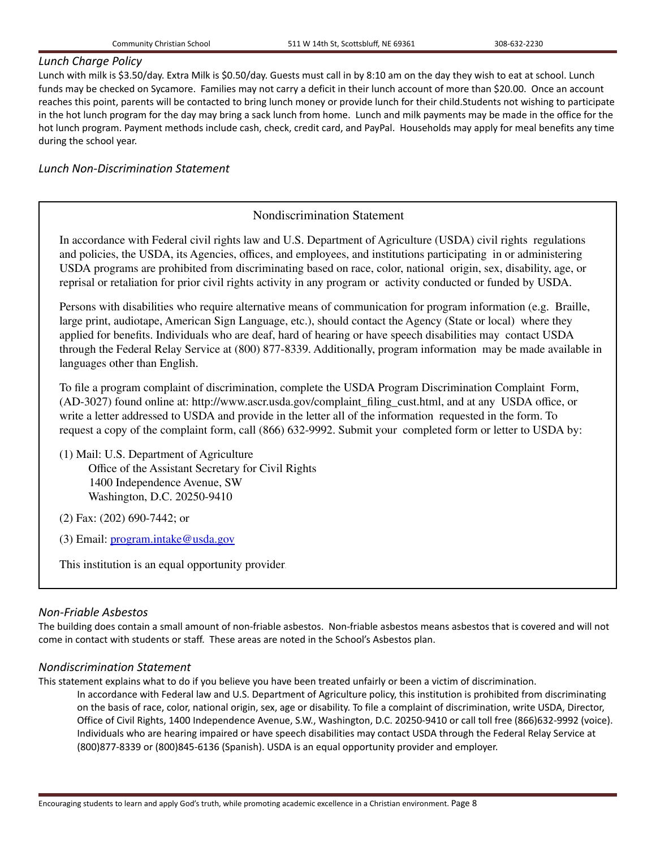## *Lunch Charge Policy*

Lunch with milk is \$3.50/day. Extra Milk is \$0.50/day. Guests must call in by 8:10 am on the day they wish to eat at school. Lunch funds may be checked on Sycamore. Families may not carry a deficit in their lunch account of more than \$20.00. Once an account reaches this point, parents will be contacted to bring lunch money or provide lunch for their child.Students not wishing to participate in the hot lunch program for the day may bring a sack lunch from home. Lunch and milk payments may be made in the office for the hot lunch program. Payment methods include cash, check, credit card, and PayPal. Households may apply for meal benefits any time during the school year.

# *Lunch Non-Discrimination Statement*

# Nondiscrimination Statement

In accordance with Federal civil rights law and U.S. Department of Agriculture (USDA) civil rights regulations and policies, the USDA, its Agencies, offices, and employees, and institutions participating in or administering USDA programs are prohibited from discriminating based on race, color, national origin, sex, disability, age, or reprisal or retaliation for prior civil rights activity in any program or activity conducted or funded by USDA.

Persons with disabilities who require alternative means of communication for program information (e.g. Braille, large print, audiotape, American Sign Language, etc.), should contact the Agency (State or local) where they applied for benefits. Individuals who are deaf, hard of hearing or have speech disabilities may contact USDA through the Federal Relay Service at (800) 877-8339. Additionally, program information may be made available in languages other than English.

To file a program complaint of discrimination, complete the USDA Program Discrimination Complaint Form, (AD-3027) found online at: http://www.ascr.usda.gov/complaint\_filing\_cust.html, and at any USDA office, or write a letter addressed to USDA and provide in the letter all of the information requested in the form. To request a copy of the complaint form, call (866) 632-9992. Submit your completed form or letter to USDA by:

(1) Mail: U.S. Department of Agriculture Office of the Assistant Secretary for Civil Rights 1400 Independence Avenue, SW Washington, D.C. 20250-9410

(2) Fax: (202) 690-7442; or

(3) Email: program.intake@usda.gov

This institution is an equal opportunity provider.

# *Non-Friable Asbestos*

The building does contain a small amount of non-friable asbestos. Non-friable asbestos means asbestos that is covered and will not come in contact with students or staff. These areas are noted in the School's Asbestos plan.

## *Nondiscrimination Statement*

This statement explains what to do if you believe you have been treated unfairly or been a victim of discrimination.

In accordance with Federal law and U.S. Department of Agriculture policy, this institution is prohibited from discriminating on the basis of race, color, national origin, sex, age or disability. To file a complaint of discrimination, write USDA, Director, Office of Civil Rights, 1400 Independence Avenue, S.W., Washington, D.C. 20250-9410 or call toll free (866)632-9992 (voice). Individuals who are hearing impaired or have speech disabilities may contact USDA through the Federal Relay Service at (800)877-8339 or (800)845-6136 (Spanish). USDA is an equal opportunity provider and employer.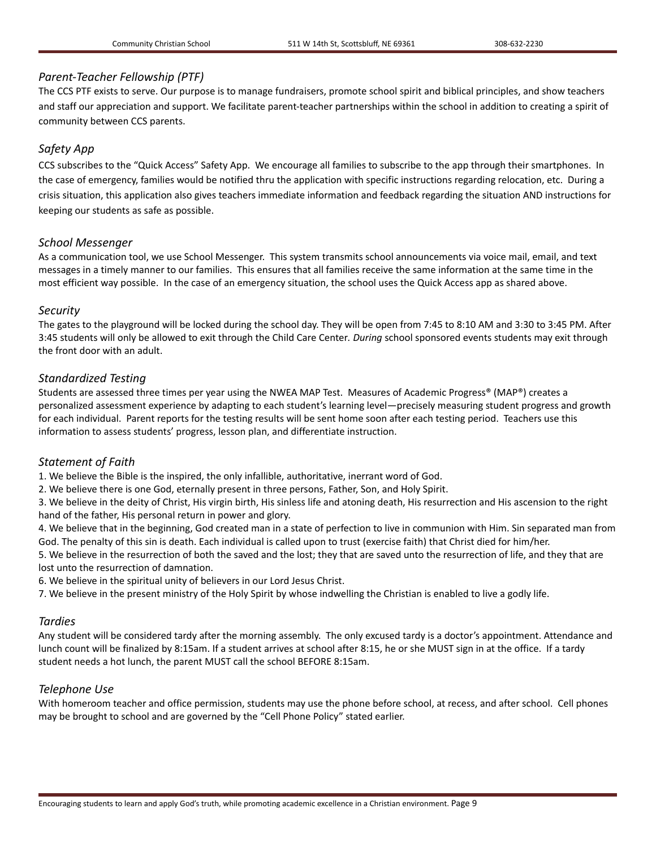# *Parent-Teacher Fellowship (PTF)*

The CCS PTF exists to serve. Our purpose is to manage fundraisers, promote school spirit and biblical principles, and show teachers and staff our appreciation and support. We facilitate parent-teacher partnerships within the school in addition to creating a spirit of community between CCS parents.

# *Safety App*

CCS subscribes to the "Quick Access" Safety App. We encourage all families to subscribe to the app through their smartphones. In the case of emergency, families would be notified thru the application with specific instructions regarding relocation, etc. During a crisis situation, this application also gives teachers immediate information and feedback regarding the situation AND instructions for keeping our students as safe as possible.

# *School Messenger*

As a communication tool, we use School Messenger. This system transmits school announcements via voice mail, email, and text messages in a timely manner to our families. This ensures that all families receive the same information at the same time in the most efficient way possible. In the case of an emergency situation, the school uses the Quick Access app as shared above.

# *Security*

The gates to the playground will be locked during the school day. They will be open from 7:45 to 8:10 AM and 3:30 to 3:45 PM. After 3:45 students will only be allowed to exit through the Child Care Center*. During* school sponsored events students may exit through the front door with an adult.

# *Standardized Testing*

Students are assessed three times per year using the NWEA MAP Test. Measures of Academic Progress® (MAP®) creates a personalized assessment experience by adapting to each student's learning level—precisely measuring student progress and growth for each individual. Parent reports for the testing results will be sent home soon after each testing period. Teachers use this information to assess students' progress, lesson plan, and differentiate instruction.

# *Statement of Faith*

1. We believe the Bible is the inspired, the only infallible, authoritative, inerrant word of God.

2. We believe there is one God, eternally present in three persons, Father, Son, and Holy Spirit.

3. We believe in the deity of Christ, His virgin birth, His sinless life and atoning death, His resurrection and His ascension to the right hand of the father, His personal return in power and glory.

4. We believe that in the beginning, God created man in a state of perfection to live in communion with Him. Sin separated man from God. The penalty of this sin is death. Each individual is called upon to trust (exercise faith) that Christ died for him/her.

5. We believe in the resurrection of both the saved and the lost; they that are saved unto the resurrection of life, and they that are lost unto the resurrection of damnation.

6. We believe in the spiritual unity of believers in our Lord Jesus Christ.

7. We believe in the present ministry of the Holy Spirit by whose indwelling the Christian is enabled to live a godly life.

# *Tardies*

Any student will be considered tardy after the morning assembly. The only excused tardy is a doctor's appointment. Attendance and lunch count will be finalized by 8:15am. If a student arrives at school after 8:15, he or she MUST sign in at the office. If a tardy student needs a hot lunch, the parent MUST call the school BEFORE 8:15am.

# *Telephone Use*

With homeroom teacher and office permission, students may use the phone before school, at recess, and after school. Cell phones may be brought to school and are governed by the "Cell Phone Policy" stated earlier.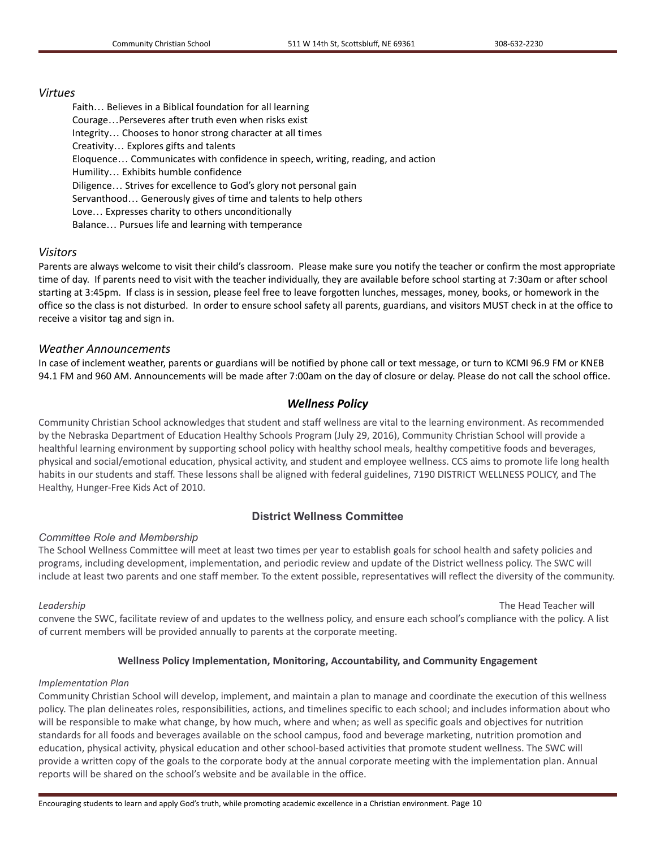#### *Virtues*

Faith… Believes in a Biblical foundation for all learning Courage…Perseveres after truth even when risks exist Integrity… Chooses to honor strong character at all times Creativity… Explores gifts and talents Eloquence… Communicates with confidence in speech, writing, reading, and action Humility… Exhibits humble confidence Diligence… Strives for excellence to God's glory not personal gain Servanthood… Generously gives of time and talents to help others Love… Expresses charity to others unconditionally Balance… Pursues life and learning with temperance

## *Visitors*

Parents are always welcome to visit their child's classroom. Please make sure you notify the teacher or confirm the most appropriate time of day. If parents need to visit with the teacher individually, they are available before school starting at 7:30am or after school starting at 3:45pm. If class is in session, please feel free to leave forgotten lunches, messages, money, books, or homework in the office so the class is not disturbed. In order to ensure school safety all parents, guardians, and visitors MUST check in at the office to receive a visitor tag and sign in.

## *Weather Announcements*

In case of inclement weather, parents or guardians will be notified by phone call or text message, or turn to KCMI 96.9 FM or KNEB 94.1 FM and 960 AM. Announcements will be made after 7:00am on the day of closure or delay. Please do not call the school office.

## *Wellness Policy*

Community Christian School acknowledges that student and staff wellness are vital to the learning environment. As recommended by the Nebraska Department of Education Healthy Schools Program (July 29, 2016), Community Christian School will provide a healthful learning environment by supporting school policy with healthy school meals, healthy competitive foods and beverages, physical and social/emotional education, physical activity, and student and employee wellness. CCS aims to promote life long health habits in our students and staff. These lessons shall be aligned with federal guidelines, 7190 DISTRICT WELLNESS POLICY, and The Healthy, Hunger-Free Kids Act of 2010.

## **District Wellness Committee**

#### *Committee Role and Membership*

The School Wellness Committee will meet at least two times per year to establish goals for school health and safety policies and programs, including development, implementation, and periodic review and update of the District wellness policy. The SWC will include at least two parents and one staff member. To the extent possible, representatives will reflect the diversity of the community.

*Leadership* The Head Teacher will

convene the SWC, facilitate review of and updates to the wellness policy, and ensure each school's compliance with the policy. A list of current members will be provided annually to parents at the corporate meeting.

#### **Wellness Policy Implementation, Monitoring, Accountability, and Community Engagement**

#### *Implementation Plan*

Community Christian School will develop, implement, and maintain a plan to manage and coordinate the execution of this wellness policy. The plan delineates roles, responsibilities, actions, and timelines specific to each school; and includes information about who will be responsible to make what change, by how much, where and when; as well as specific goals and objectives for nutrition standards for all foods and beverages available on the school campus, food and beverage marketing, nutrition promotion and education, physical activity, physical education and other school-based activities that promote student wellness. The SWC will provide a written copy of the goals to the corporate body at the annual corporate meeting with the implementation plan. Annual reports will be shared on the school's website and be available in the office.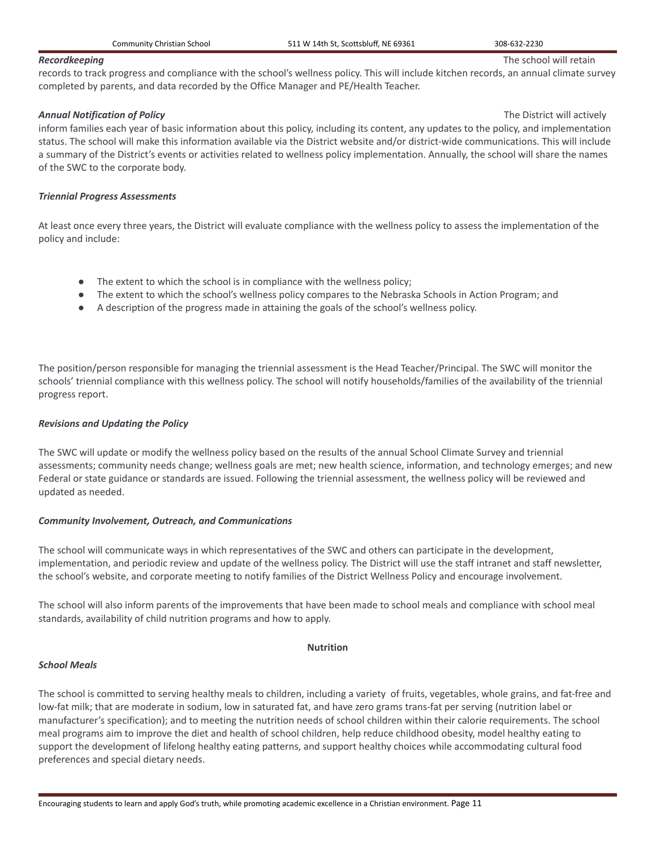#### **Recordkeeping** The school will retain

records to track progress and compliance with the school's wellness policy. This will include kitchen records, an annual climate survey completed by parents, and data recorded by the Office Manager and PE/Health Teacher.

#### *Annual Notification of Policy* The District will actively

inform families each year of basic information about this policy, including its content, any updates to the policy, and implementation status. The school will make this information available via the District website and/or district-wide communications. This will include a summary of the District's events or activities related to wellness policy implementation. Annually, the school will share the names of the SWC to the corporate body.

#### *Triennial Progress Assessments*

At least once every three years, the District will evaluate compliance with the wellness policy to assess the implementation of the policy and include:

- The extent to which the school is in compliance with the wellness policy;
- The extent to which the school's wellness policy compares to the Nebraska Schools in Action Program; and
- A description of the progress made in attaining the goals of the school's wellness policy.

The position/person responsible for managing the triennial assessment is the Head Teacher/Principal. The SWC will monitor the schools' triennial compliance with this wellness policy. The school will notify households/families of the availability of the triennial progress report.

## *Revisions and Updating the Policy*

The SWC will update or modify the wellness policy based on the results of the annual School Climate Survey and triennial assessments; community needs change; wellness goals are met; new health science, information, and technology emerges; and new Federal or state guidance or standards are issued. Following the triennial assessment, the wellness policy will be reviewed and updated as needed.

#### *Community Involvement, Outreach, and Communications*

The school will communicate ways in which representatives of the SWC and others can participate in the development, implementation, and periodic review and update of the wellness policy. The District will use the staff intranet and staff newsletter, the school's website, and corporate meeting to notify families of the District Wellness Policy and encourage involvement.

The school will also inform parents of the improvements that have been made to school meals and compliance with school meal standards, availability of child nutrition programs and how to apply.

#### **Nutrition**

#### *School Meals*

The school is committed to serving healthy meals to children, including a variety of fruits, vegetables, whole grains, and fat-free and low-fat milk; that are moderate in sodium, low in saturated fat, and have zero grams trans-fat per serving (nutrition label or manufacturer's specification); and to meeting the nutrition needs of school children within their calorie requirements. The school meal programs aim to improve the diet and health of school children, help reduce childhood obesity, model healthy eating to support the development of lifelong healthy eating patterns, and support healthy choices while accommodating cultural food preferences and special dietary needs.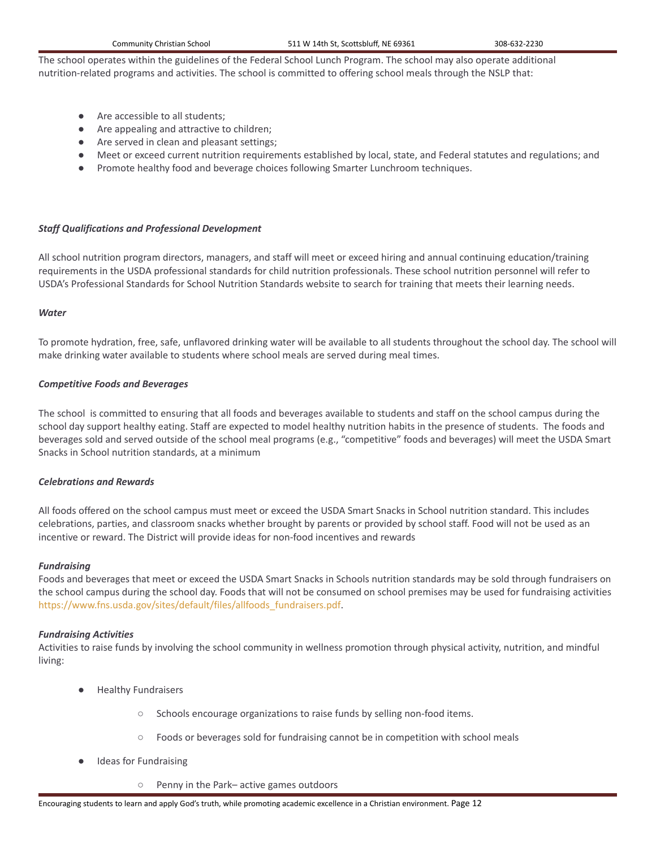The school operates within the guidelines of the Federal School Lunch Program. The school may also operate additional nutrition-related programs and activities. The school is committed to offering school meals through the NSLP that:

- Are accessible to all students:
- Are appealing and attractive to children;
- Are served in clean and pleasant settings;
- Meet or exceed current nutrition requirements established by local, state, and Federal statutes and regulations; and
- Promote healthy food and beverage choices following Smarter Lunchroom techniques.

#### *Staff Qualifications and Professional Development*

All school nutrition program directors, managers, and staff will meet or exceed hiring and annual continuing education/training requirements in the USDA professional standards for child nutrition professionals. These school nutrition personnel will refer to USDA's Professional Standards for School Nutrition Standards website to search for training that meets their learning needs.

#### *Water*

To promote hydration, free, safe, unflavored drinking water will be available to all students throughout the school day. The school will make drinking water available to students where school meals are served during meal times.

#### *Competitive Foods and Beverages*

The school is committed to ensuring that all foods and beverages available to students and staff on the school campus during the school day support healthy eating. Staff are expected to model healthy nutrition habits in the presence of students. The foods and beverages sold and served outside of the school meal programs (e.g., "competitive" foods and beverages) will meet the USDA Smart Snacks in School nutrition standards, at a minimum

#### *Celebrations and Rewards*

All foods offered on the school campus must meet or exceed the USDA Smart Snacks in School nutrition standard. This includes celebrations, parties, and classroom snacks whether brought by parents or provided by school staff. Food will not be used as an incentive or reward. The District will provide ideas for non-food incentives and rewards

#### *Fundraising*

Foods and beverages that meet or exceed the USDA Smart Snacks in Schools nutrition standards may be sold through fundraisers on the school campus during the school day. Foods that will not be consumed on school premises may be used for fundraising activities [https://www.fns.usda.gov/sites/default/files/allfoods\\_fundraisers.pdf](https://www.fns.usda.gov/sites/default/files/allfoods_fundraisers.pdf).

#### *Fundraising Activities*

Activities to raise funds by involving the school community in wellness promotion through physical activity, nutrition, and mindful living:

- **Healthy Fundraisers** 
	- Schools encourage organizations to raise funds by selling non-food items.
	- Foods or beverages sold for fundraising cannot be in competition with school meals
- **Ideas for Fundraising** 
	- Penny in the Park– active games outdoors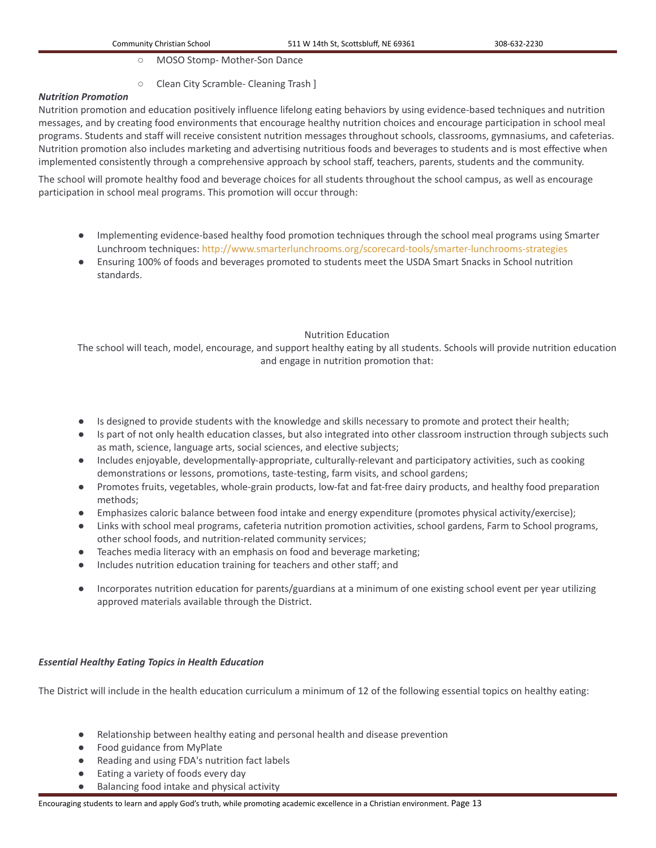- MOSO Stomp- Mother-Son Dance
- Clean City Scramble- Cleaning Trash ]

## *Nutrition Promotion*

Nutrition promotion and education positively influence lifelong eating behaviors by using evidence-based techniques and nutrition messages, and by creating food environments that encourage healthy nutrition choices and encourage participation in school meal programs. Students and staff will receive consistent nutrition messages throughout schools, classrooms, gymnasiums, and cafeterias. Nutrition promotion also includes marketing and advertising nutritious foods and beverages to students and is most effective when implemented consistently through a comprehensive approach by school staff, teachers, parents, students and the community.

The school will promote healthy food and beverage choices for all students throughout the school campus, as well as encourage participation in school meal programs. This promotion will occur through:

- Implementing evidence-based healthy food promotion techniques through the school meal programs using Smarter Lunchroom techniques: <http://www.smarterlunchrooms.org/scorecard-tools/smarter-lunchrooms-strategies>
- Ensuring 100% of foods and beverages promoted to students meet the USDA Smart Snacks in School nutrition standards.

# Nutrition Education

The school will teach, model, encourage, and support healthy eating by all students. Schools will provide nutrition education and engage in nutrition promotion that:

- Is designed to provide students with the knowledge and skills necessary to promote and protect their health;
- Is part of not only health education classes, but also integrated into other classroom instruction through subjects such as math, science, language arts, social sciences, and elective subjects;
- Includes enjoyable, developmentally-appropriate, culturally-relevant and participatory activities, such as cooking demonstrations or lessons, promotions, taste-testing, farm visits, and school gardens;
- Promotes fruits, vegetables, whole-grain products, low-fat and fat-free dairy products, and healthy food preparation methods;
- Emphasizes caloric balance between food intake and energy expenditure (promotes physical activity/exercise);
- Links with school meal programs, cafeteria nutrition promotion activities, school gardens, Farm to School programs, other school foods, and nutrition-related community services;
- Teaches media literacy with an emphasis on food and beverage marketing;
- Includes nutrition education training for teachers and other staff; and
- Incorporates nutrition education for parents/guardians at a minimum of one existing school event per year utilizing approved materials available through the District.

# *Essential Healthy Eating Topics in Health Education*

The District will include in the health education curriculum a minimum of 12 of the following essential topics on healthy eating:

- Relationship between healthy eating and personal health and disease prevention
- Food guidance from MyPlate
- Reading and using FDA's nutrition fact labels
- Eating a variety of foods every day
- Balancing food intake and physical activity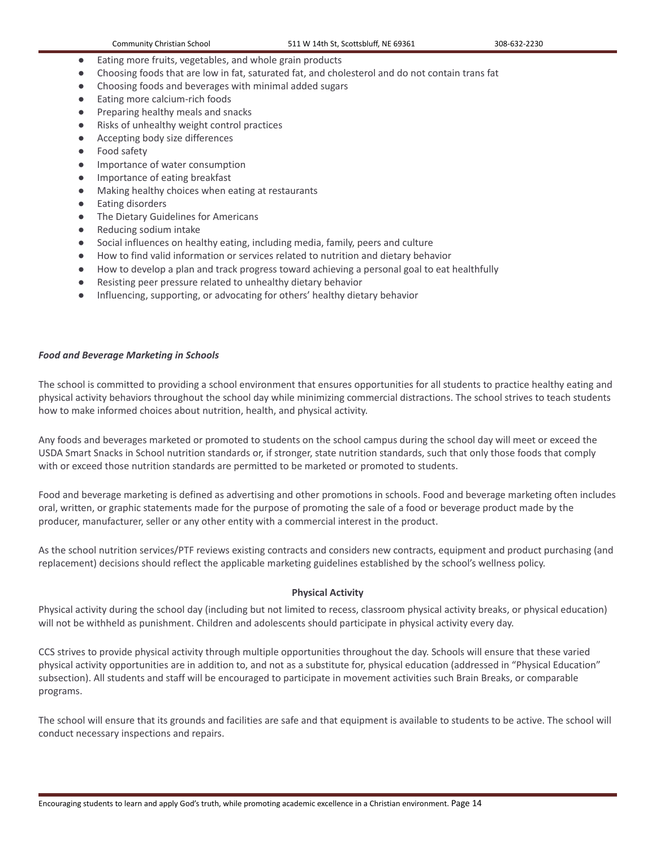- Eating more fruits, vegetables, and whole grain products
- Choosing foods that are low in fat, saturated fat, and cholesterol and do not contain trans fat
- Choosing foods and beverages with minimal added sugars
- Eating more calcium-rich foods
- Preparing healthy meals and snacks
- Risks of unhealthy weight control practices
- Accepting body size differences
- Food safety
- Importance of water consumption
- Importance of eating breakfast
- Making healthy choices when eating at restaurants
- Eating disorders
- The Dietary Guidelines for Americans
- Reducing sodium intake
- Social influences on healthy eating, including media, family, peers and culture
- How to find valid information or services related to nutrition and dietary behavior
- How to develop a plan and track progress toward achieving a personal goal to eat healthfully
- Resisting peer pressure related to unhealthy dietary behavior
- Influencing, supporting, or advocating for others' healthy dietary behavior

#### *Food and Beverage Marketing in Schools*

The school is committed to providing a school environment that ensures opportunities for all students to practice healthy eating and physical activity behaviors throughout the school day while minimizing commercial distractions. The school strives to teach students how to make informed choices about nutrition, health, and physical activity.

Any foods and beverages marketed or promoted to students on the school campus during the school day will meet or exceed the USDA Smart Snacks in School nutrition standards or, if stronger, state nutrition standards, such that only those foods that comply with or exceed those nutrition standards are permitted to be marketed or promoted to students.

Food and beverage marketing is defined as advertising and other promotions in schools. Food and beverage marketing often includes oral, written, or graphic statements made for the purpose of promoting the sale of a food or beverage product made by the producer, manufacturer, seller or any other entity with a commercial interest in the product.

As the school nutrition services/PTF reviews existing contracts and considers new contracts, equipment and product purchasing (and replacement) decisions should reflect the applicable marketing guidelines established by the school's wellness policy.

#### **Physical Activity**

Physical activity during the school day (including but not limited to recess, classroom physical activity breaks, or physical education) will not be withheld as punishment. Children and adolescents should participate in physical activity every day.

CCS strives to provide physical activity through multiple opportunities throughout the day. Schools will ensure that these varied physical activity opportunities are in addition to, and not as a substitute for, physical education (addressed in "Physical Education" subsection). All students and staff will be encouraged to participate in movement activities such Brain Breaks, or comparable programs.

The school will ensure that its grounds and facilities are safe and that equipment is available to students to be active. The school will conduct necessary inspections and repairs.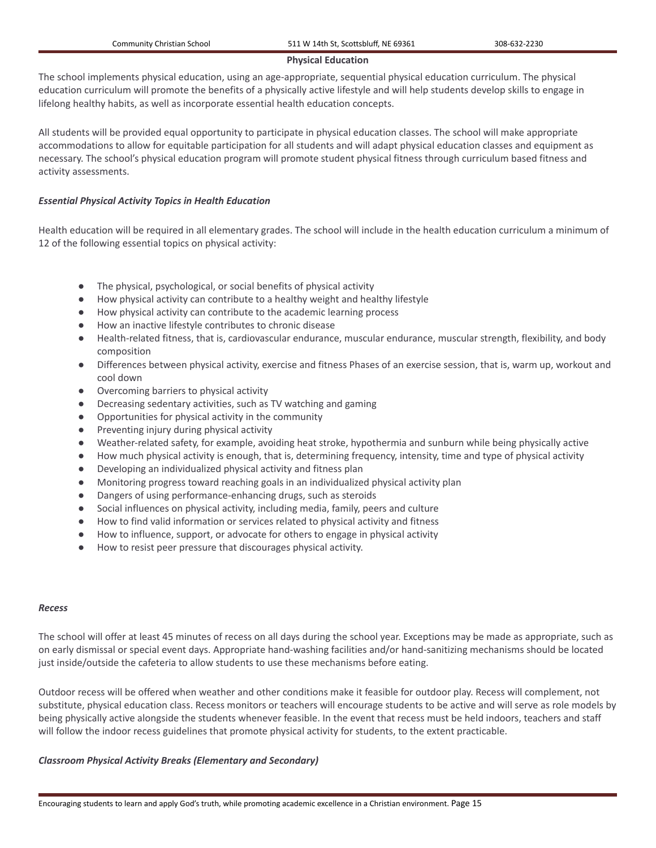#### **Physical Education**

The school implements physical education, using an age-appropriate, sequential physical education curriculum. The physical education curriculum will promote the benefits of a physically active lifestyle and will help students develop skills to engage in lifelong healthy habits, as well as incorporate essential health education concepts.

All students will be provided equal opportunity to participate in physical education classes. The school will make appropriate accommodations to allow for equitable participation for all students and will adapt physical education classes and equipment as necessary. The school's physical education program will promote student physical fitness through curriculum based fitness and activity assessments.

## *Essential Physical Activity Topics in Health Education*

Health education will be required in all elementary grades. The school will include in the health education curriculum a minimum of 12 of the following essential topics on physical activity:

- The physical, psychological, or social benefits of physical activity
- How physical activity can contribute to a healthy weight and healthy lifestyle
- How physical activity can contribute to the academic learning process
- How an inactive lifestyle contributes to chronic disease
- Health-related fitness, that is, cardiovascular endurance, muscular endurance, muscular strength, flexibility, and body composition
- Differences between physical activity, exercise and fitness Phases of an exercise session, that is, warm up, workout and cool down
- Overcoming barriers to physical activity
- Decreasing sedentary activities, such as TV watching and gaming
- Opportunities for physical activity in the community
- Preventing injury during physical activity
- Weather-related safety, for example, avoiding heat stroke, hypothermia and sunburn while being physically active
- How much physical activity is enough, that is, determining frequency, intensity, time and type of physical activity
- Developing an individualized physical activity and fitness plan
- Monitoring progress toward reaching goals in an individualized physical activity plan
- Dangers of using performance-enhancing drugs, such as steroids
- Social influences on physical activity, including media, family, peers and culture
- How to find valid information or services related to physical activity and fitness
- How to influence, support, or advocate for others to engage in physical activity
- How to resist peer pressure that discourages physical activity.

#### *Recess*

The school will offer at least 45 minutes of recess on all days during the school year. Exceptions may be made as appropriate, such as on early dismissal or special event days. Appropriate hand-washing facilities and/or hand-sanitizing mechanisms should be located just inside/outside the cafeteria to allow students to use these mechanisms before eating.

Outdoor recess will be offered when weather and other conditions make it feasible for outdoor play. Recess will complement, not substitute, physical education class. Recess monitors or teachers will encourage students to be active and will serve as role models by being physically active alongside the students whenever feasible. In the event that recess must be held indoors, teachers and staff will follow the indoor recess guidelines that promote physical activity for students, to the extent practicable.

#### *Classroom Physical Activity Breaks (Elementary and Secondary)*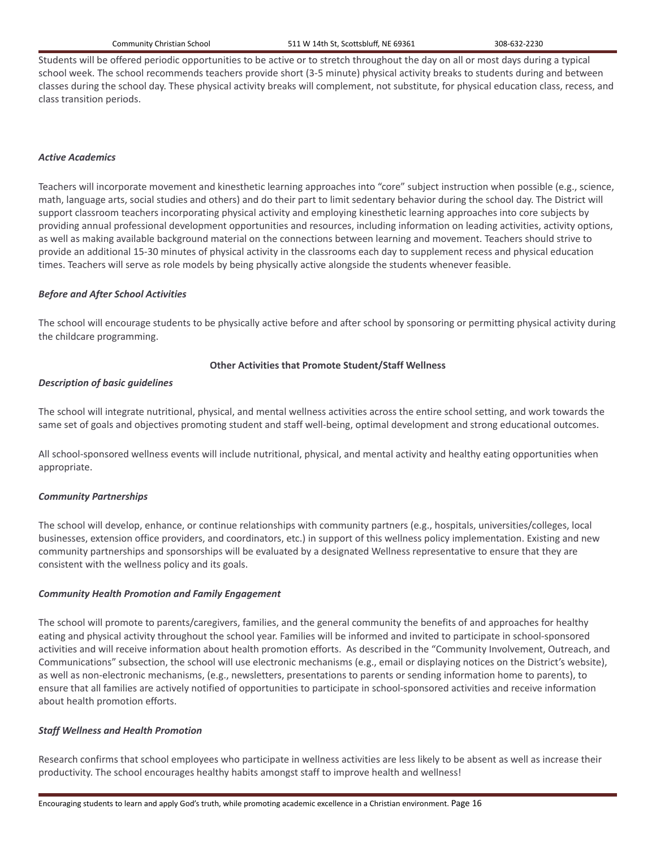Students will be offered periodic opportunities to be active or to stretch throughout the day on all or most days during a typical school week. The school recommends teachers provide short (3-5 minute) physical activity breaks to students during and between classes during the school day. These physical activity breaks will complement, not substitute, for physical education class, recess, and class transition periods.

#### *Active Academics*

Teachers will incorporate movement and kinesthetic learning approaches into "core" subject instruction when possible (e.g., science, math, language arts, social studies and others) and do their part to limit sedentary behavior during the school day. The District will support classroom teachers incorporating physical activity and employing kinesthetic learning approaches into core subjects by providing annual professional development opportunities and resources, including information on leading activities, activity options, as well as making available background material on the connections between learning and movement. Teachers should strive to provide an additional 15-30 minutes of physical activity in the classrooms each day to supplement recess and physical education times. Teachers will serve as role models by being physically active alongside the students whenever feasible.

## *Before and After School Activities*

The school will encourage students to be physically active before and after school by sponsoring or permitting physical activity during the childcare programming.

## **Other Activities that Promote Student/Staff Wellness**

## *Description of basic guidelines*

The school will integrate nutritional, physical, and mental wellness activities across the entire school setting, and work towards the same set of goals and objectives promoting student and staff well-being, optimal development and strong educational outcomes.

All school-sponsored wellness events will include nutritional, physical, and mental activity and healthy eating opportunities when appropriate.

#### *Community Partnerships*

The school will develop, enhance, or continue relationships with community partners (e.g., hospitals, universities/colleges, local businesses, extension office providers, and coordinators, etc.) in support of this wellness policy implementation. Existing and new community partnerships and sponsorships will be evaluated by a designated Wellness representative to ensure that they are consistent with the wellness policy and its goals.

#### *Community Health Promotion and Family Engagement*

The school will promote to parents/caregivers, families, and the general community the benefits of and approaches for healthy eating and physical activity throughout the school year. Families will be informed and invited to participate in school-sponsored activities and will receive information about health promotion efforts. As described in the "Community Involvement, Outreach, and Communications" subsection, the school will use electronic mechanisms (e.g., email or displaying notices on the District's website), as well as non-electronic mechanisms, (e.g., newsletters, presentations to parents or sending information home to parents), to ensure that all families are actively notified of opportunities to participate in school-sponsored activities and receive information about health promotion efforts.

#### *Staff Wellness and Health Promotion*

Research confirms that school employees who participate in wellness activities are less likely to be absent as well as increase their productivity. The school encourages healthy habits amongst staff to improve health and wellness!